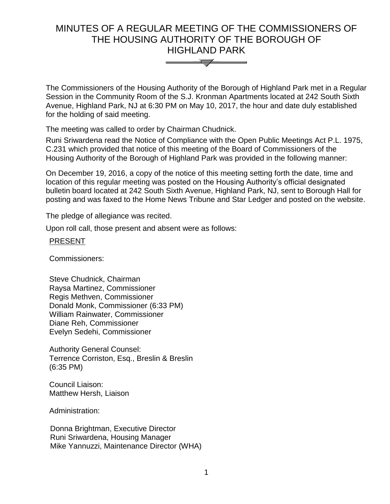# MINUTES OF A REGULAR MEETING OF THE COMMISSIONERS OF THE HOUSING AUTHORITY OF THE BOROUGH OF HIGHLAND PARK



The Commissioners of the Housing Authority of the Borough of Highland Park met in a Regular Session in the Community Room of the S.J. Kronman Apartments located at 242 South Sixth Avenue, Highland Park, NJ at 6:30 PM on May 10, 2017, the hour and date duly established for the holding of said meeting.

The meeting was called to order by Chairman Chudnick.

Runi Sriwardena read the Notice of Compliance with the Open Public Meetings Act P.L. 1975, C.231 which provided that notice of this meeting of the Board of Commissioners of the Housing Authority of the Borough of Highland Park was provided in the following manner:

On December 19, 2016, a copy of the notice of this meeting setting forth the date, time and location of this regular meeting was posted on the Housing Authority's official designated bulletin board located at 242 South Sixth Avenue, Highland Park, NJ, sent to Borough Hall for posting and was faxed to the Home News Tribune and Star Ledger and posted on the website.

The pledge of allegiance was recited.

Upon roll call, those present and absent were as follows:

## **PRESENT**

Commissioners:

Steve Chudnick, Chairman Raysa Martinez, Commissioner Regis Methven, Commissioner Donald Monk, Commissioner (6:33 PM) William Rainwater, Commissioner Diane Reh, Commissioner Evelyn Sedehi, Commissioner

Authority General Counsel: Terrence Corriston, Esq., Breslin & Breslin (6:35 PM)

Council Liaison: Matthew Hersh, Liaison

Administration:

 Donna Brightman, Executive Director Runi Sriwardena, Housing Manager Mike Yannuzzi, Maintenance Director (WHA)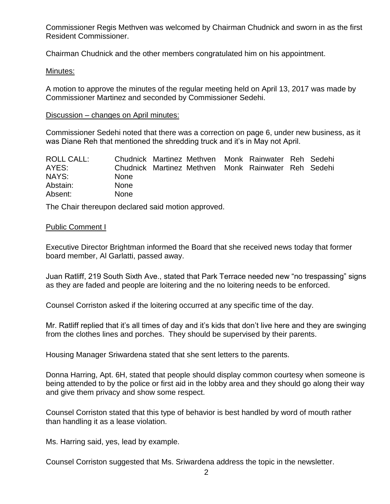Commissioner Regis Methven was welcomed by Chairman Chudnick and sworn in as the first Resident Commissioner.

Chairman Chudnick and the other members congratulated him on his appointment.

#### Minutes:

A motion to approve the minutes of the regular meeting held on April 13, 2017 was made by Commissioner Martinez and seconded by Commissioner Sedehi.

#### Discussion – changes on April minutes:

Commissioner Sedehi noted that there was a correction on page 6, under new business, as it was Diane Reh that mentioned the shredding truck and it's in May not April.

| <b>ROLL CALL:</b> |             |  | Chudnick Martinez Methven Monk Rainwater Reh Sedehi |  |
|-------------------|-------------|--|-----------------------------------------------------|--|
| AYES:             |             |  | Chudnick Martinez Methven Monk Rainwater Reh Sedehi |  |
| NAYS:             | <b>None</b> |  |                                                     |  |
| Abstain:          | <b>None</b> |  |                                                     |  |
| Absent:           | <b>None</b> |  |                                                     |  |

The Chair thereupon declared said motion approved.

## Public Comment I

Executive Director Brightman informed the Board that she received news today that former board member, Al Garlatti, passed away.

Juan Ratliff, 219 South Sixth Ave., stated that Park Terrace needed new "no trespassing" signs as they are faded and people are loitering and the no loitering needs to be enforced.

Counsel Corriston asked if the loitering occurred at any specific time of the day.

Mr. Ratliff replied that it's all times of day and it's kids that don't live here and they are swinging from the clothes lines and porches. They should be supervised by their parents.

Housing Manager Sriwardena stated that she sent letters to the parents.

Donna Harring, Apt. 6H, stated that people should display common courtesy when someone is being attended to by the police or first aid in the lobby area and they should go along their way and give them privacy and show some respect.

Counsel Corriston stated that this type of behavior is best handled by word of mouth rather than handling it as a lease violation.

Ms. Harring said, yes, lead by example.

Counsel Corriston suggested that Ms. Sriwardena address the topic in the newsletter.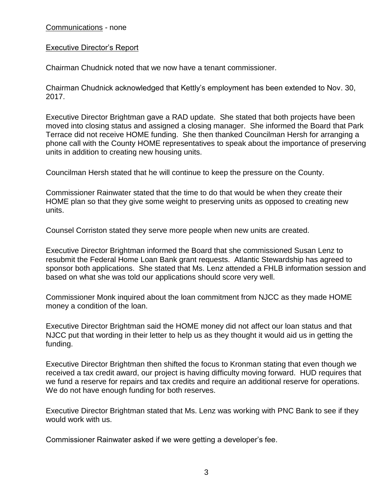Communications - none

## Executive Director's Report

Chairman Chudnick noted that we now have a tenant commissioner.

Chairman Chudnick acknowledged that Kettly's employment has been extended to Nov. 30, 2017.

Executive Director Brightman gave a RAD update. She stated that both projects have been moved into closing status and assigned a closing manager. She informed the Board that Park Terrace did not receive HOME funding. She then thanked Councilman Hersh for arranging a phone call with the County HOME representatives to speak about the importance of preserving units in addition to creating new housing units.

Councilman Hersh stated that he will continue to keep the pressure on the County.

Commissioner Rainwater stated that the time to do that would be when they create their HOME plan so that they give some weight to preserving units as opposed to creating new units.

Counsel Corriston stated they serve more people when new units are created.

Executive Director Brightman informed the Board that she commissioned Susan Lenz to resubmit the Federal Home Loan Bank grant requests. Atlantic Stewardship has agreed to sponsor both applications. She stated that Ms. Lenz attended a FHLB information session and based on what she was told our applications should score very well.

Commissioner Monk inquired about the loan commitment from NJCC as they made HOME money a condition of the loan.

Executive Director Brightman said the HOME money did not affect our loan status and that NJCC put that wording in their letter to help us as they thought it would aid us in getting the funding.

Executive Director Brightman then shifted the focus to Kronman stating that even though we received a tax credit award, our project is having difficulty moving forward. HUD requires that we fund a reserve for repairs and tax credits and require an additional reserve for operations. We do not have enough funding for both reserves.

Executive Director Brightman stated that Ms. Lenz was working with PNC Bank to see if they would work with us.

Commissioner Rainwater asked if we were getting a developer's fee.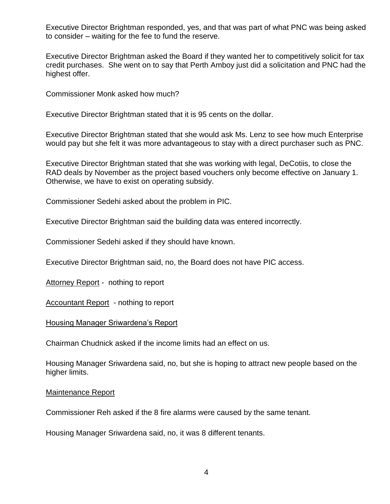Executive Director Brightman responded, yes, and that was part of what PNC was being asked to consider – waiting for the fee to fund the reserve.

Executive Director Brightman asked the Board if they wanted her to competitively solicit for tax credit purchases. She went on to say that Perth Amboy just did a solicitation and PNC had the highest offer.

Commissioner Monk asked how much?

Executive Director Brightman stated that it is 95 cents on the dollar.

Executive Director Brightman stated that she would ask Ms. Lenz to see how much Enterprise would pay but she felt it was more advantageous to stay with a direct purchaser such as PNC.

Executive Director Brightman stated that she was working with legal, DeCotiis, to close the RAD deals by November as the project based vouchers only become effective on January 1. Otherwise, we have to exist on operating subsidy.

Commissioner Sedehi asked about the problem in PIC.

Executive Director Brightman said the building data was entered incorrectly.

Commissioner Sedehi asked if they should have known.

Executive Director Brightman said, no, the Board does not have PIC access.

Attorney Report - nothing to report

Accountant Report - nothing to report

Housing Manager Sriwardena's Report

Chairman Chudnick asked if the income limits had an effect on us.

Housing Manager Sriwardena said, no, but she is hoping to attract new people based on the higher limits.

#### Maintenance Report

Commissioner Reh asked if the 8 fire alarms were caused by the same tenant.

Housing Manager Sriwardena said, no, it was 8 different tenants.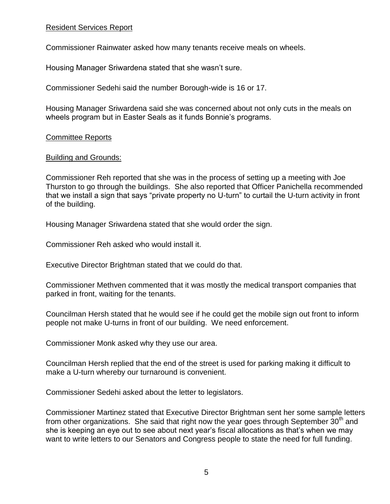# Resident Services Report

Commissioner Rainwater asked how many tenants receive meals on wheels.

Housing Manager Sriwardena stated that she wasn't sure.

Commissioner Sedehi said the number Borough-wide is 16 or 17.

Housing Manager Sriwardena said she was concerned about not only cuts in the meals on wheels program but in Easter Seals as it funds Bonnie's programs.

## Committee Reports

## Building and Grounds:

Commissioner Reh reported that she was in the process of setting up a meeting with Joe Thurston to go through the buildings. She also reported that Officer Panichella recommended that we install a sign that says "private property no U-turn" to curtail the U-turn activity in front of the building.

Housing Manager Sriwardena stated that she would order the sign.

Commissioner Reh asked who would install it.

Executive Director Brightman stated that we could do that.

Commissioner Methven commented that it was mostly the medical transport companies that parked in front, waiting for the tenants.

Councilman Hersh stated that he would see if he could get the mobile sign out front to inform people not make U-turns in front of our building. We need enforcement.

Commissioner Monk asked why they use our area.

Councilman Hersh replied that the end of the street is used for parking making it difficult to make a U-turn whereby our turnaround is convenient.

Commissioner Sedehi asked about the letter to legislators.

Commissioner Martinez stated that Executive Director Brightman sent her some sample letters from other organizations. She said that right now the year goes through September  $30<sup>th</sup>$  and she is keeping an eye out to see about next year's fiscal allocations as that's when we may want to write letters to our Senators and Congress people to state the need for full funding.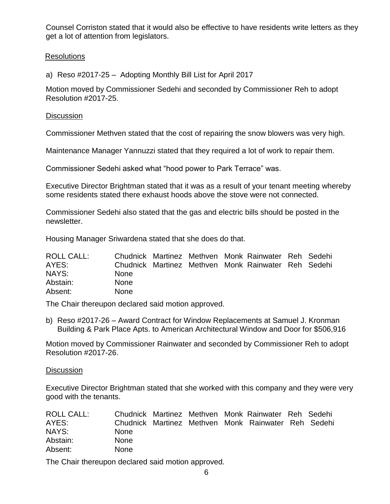Counsel Corriston stated that it would also be effective to have residents write letters as they get a lot of attention from legislators.

## Resolutions

a) Reso #2017-25 – Adopting Monthly Bill List for April 2017

Motion moved by Commissioner Sedehi and seconded by Commissioner Reh to adopt Resolution #2017-25.

#### **Discussion**

Commissioner Methven stated that the cost of repairing the snow blowers was very high.

Maintenance Manager Yannuzzi stated that they required a lot of work to repair them.

Commissioner Sedehi asked what "hood power to Park Terrace" was.

Executive Director Brightman stated that it was as a result of your tenant meeting whereby some residents stated there exhaust hoods above the stove were not connected.

Commissioner Sedehi also stated that the gas and electric bills should be posted in the newsletter.

Housing Manager Sriwardena stated that she does do that.

| <b>ROLL CALL:</b> |             |  | Chudnick Martinez Methven Monk Rainwater Reh Sedehi |  |
|-------------------|-------------|--|-----------------------------------------------------|--|
| AYES:             |             |  | Chudnick Martinez Methven Monk Rainwater Reh Sedehi |  |
| NAYS:             | <b>None</b> |  |                                                     |  |
| Abstain:          | <b>None</b> |  |                                                     |  |
| Absent:           | <b>None</b> |  |                                                     |  |

The Chair thereupon declared said motion approved.

b) Reso #2017-26 – Award Contract for Window Replacements at Samuel J. Kronman Building & Park Place Apts. to American Architectural Window and Door for \$506,916

Motion moved by Commissioner Rainwater and seconded by Commissioner Reh to adopt Resolution #2017-26.

#### **Discussion**

Executive Director Brightman stated that she worked with this company and they were very good with the tenants.

| <b>ROLL CALL:</b> |             |  | Chudnick Martinez Methven Monk Rainwater Reh Sedehi |  |
|-------------------|-------------|--|-----------------------------------------------------|--|
| AYES:             |             |  | Chudnick Martinez Methven Monk Rainwater Reh Sedehi |  |
| NAYS:             | <b>None</b> |  |                                                     |  |
| Abstain:          | <b>None</b> |  |                                                     |  |
| Absent:           | <b>None</b> |  |                                                     |  |

The Chair thereupon declared said motion approved.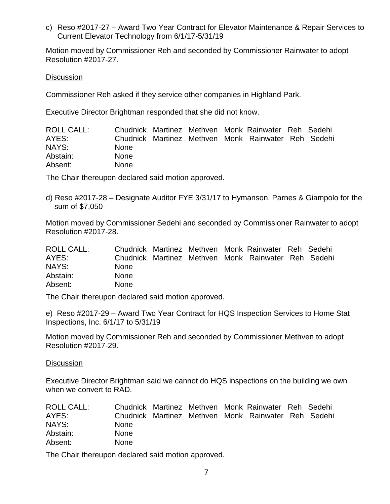c) Reso #2017-27 – Award Two Year Contract for Elevator Maintenance & Repair Services to Current Elevator Technology from 6/1/17-5/31/19

Motion moved by Commissioner Reh and seconded by Commissioner Rainwater to adopt Resolution #2017-27.

#### **Discussion**

Commissioner Reh asked if they service other companies in Highland Park.

Executive Director Brightman responded that she did not know.

| ROLL CALL: |             |  | Chudnick Martinez Methven Monk Rainwater Reh Sedehi |  |
|------------|-------------|--|-----------------------------------------------------|--|
| AYES:      |             |  | Chudnick Martinez Methven Monk Rainwater Reh Sedehi |  |
| NAYS:      | <b>None</b> |  |                                                     |  |
| Abstain:   | <b>None</b> |  |                                                     |  |
| Absent:    | <b>None</b> |  |                                                     |  |

The Chair thereupon declared said motion approved.

d) Reso #2017-28 – Designate Auditor FYE 3/31/17 to Hymanson, Parnes & Giampolo for the sum of \$7,050

Motion moved by Commissioner Sedehi and seconded by Commissioner Rainwater to adopt Resolution #2017-28.

| ROLL CALL: |             |  | Chudnick Martinez Methven Monk Rainwater Reh Sedehi |  |
|------------|-------------|--|-----------------------------------------------------|--|
| AYES:      |             |  | Chudnick Martinez Methven Monk Rainwater Reh Sedehi |  |
| NAYS:      | <b>None</b> |  |                                                     |  |
| Abstain:   | <b>None</b> |  |                                                     |  |
| Absent:    | <b>None</b> |  |                                                     |  |

The Chair thereupon declared said motion approved.

e) Reso #2017-29 – Award Two Year Contract for HQS Inspection Services to Home Stat Inspections, Inc. 6/1/17 to 5/31/19

Motion moved by Commissioner Reh and seconded by Commissioner Methven to adopt Resolution #2017-29.

**Discussion** 

Executive Director Brightman said we cannot do HQS inspections on the building we own when we convert to RAD.

| ROLL CALL: |             |  | Chudnick Martinez Methven Monk Rainwater Reh Sedehi |  |
|------------|-------------|--|-----------------------------------------------------|--|
| AYES:      |             |  | Chudnick Martinez Methven Monk Rainwater Reh Sedehi |  |
| NAYS:      | <b>None</b> |  |                                                     |  |
| Abstain:   | <b>None</b> |  |                                                     |  |
| Absent:    | <b>None</b> |  |                                                     |  |

The Chair thereupon declared said motion approved.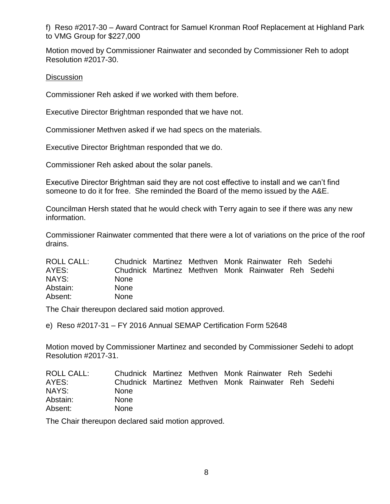f) Reso #2017-30 – Award Contract for Samuel Kronman Roof Replacement at Highland Park to VMG Group for \$227,000

Motion moved by Commissioner Rainwater and seconded by Commissioner Reh to adopt Resolution #2017-30.

# **Discussion**

Commissioner Reh asked if we worked with them before.

Executive Director Brightman responded that we have not.

Commissioner Methven asked if we had specs on the materials.

Executive Director Brightman responded that we do.

Commissioner Reh asked about the solar panels.

Executive Director Brightman said they are not cost effective to install and we can't find someone to do it for free. She reminded the Board of the memo issued by the A&E.

Councilman Hersh stated that he would check with Terry again to see if there was any new information.

Commissioner Rainwater commented that there were a lot of variations on the price of the roof drains.

| <b>ROLL CALL:</b> |             |  | Chudnick Martinez Methven Monk Rainwater Reh Sedehi |  |
|-------------------|-------------|--|-----------------------------------------------------|--|
| AYES:             |             |  | Chudnick Martinez Methven Monk Rainwater Reh Sedehi |  |
| NAYS:             | <b>None</b> |  |                                                     |  |
| Abstain:          | <b>None</b> |  |                                                     |  |
| Absent:           | <b>None</b> |  |                                                     |  |

The Chair thereupon declared said motion approved.

e) Reso #2017-31 – FY 2016 Annual SEMAP Certification Form 52648

Motion moved by Commissioner Martinez and seconded by Commissioner Sedehi to adopt Resolution #2017-31.

| ROLL CALL: |             |  | Chudnick Martinez Methven Monk Rainwater Reh Sedehi |  |
|------------|-------------|--|-----------------------------------------------------|--|
| AYES:      |             |  | Chudnick Martinez Methven Monk Rainwater Reh Sedehi |  |
| NAYS:      | <b>None</b> |  |                                                     |  |
| Abstain:   | <b>None</b> |  |                                                     |  |
| Absent:    | <b>None</b> |  |                                                     |  |

The Chair thereupon declared said motion approved.